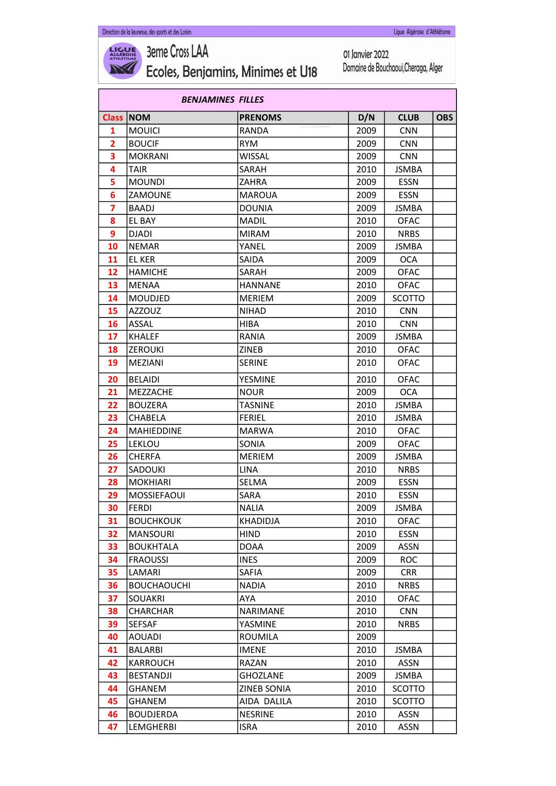

**3eme Cross LAA** Ecoles, Benjamins, Minimes et U18

01 Janvier 2022 Domaine de Bouchaoui, Cheraga, Alger

|                | <b>BENJAMINES FILLES</b> |                 |      |               |            |  |
|----------------|--------------------------|-----------------|------|---------------|------------|--|
| <b>Class</b>   | <b>NOM</b>               | <b>PRENOMS</b>  | D/N  | <b>CLUB</b>   | <b>OBS</b> |  |
| 1              | <b>MOUICI</b>            | <b>RANDA</b>    | 2009 | <b>CNN</b>    |            |  |
| $\overline{2}$ | <b>BOUCIF</b>            | <b>RYM</b>      | 2009 | <b>CNN</b>    |            |  |
| 3              | <b>MOKRANI</b>           | <b>WISSAL</b>   | 2009 | <b>CNN</b>    |            |  |
| 4              | <b>TAIR</b>              | SARAH           | 2010 | <b>JSMBA</b>  |            |  |
| 5              | <b>MOUNDI</b>            | ZAHRA           | 2009 | <b>ESSN</b>   |            |  |
| 6              | ZAMOUNE                  | <b>MAROUA</b>   | 2009 | <b>ESSN</b>   |            |  |
| 7              | <b>BAADJ</b>             | <b>DOUNIA</b>   | 2009 | <b>JSMBA</b>  |            |  |
| 8              | <b>EL BAY</b>            | <b>MADIL</b>    | 2010 | <b>OFAC</b>   |            |  |
| 9              | <b>DJADI</b>             | <b>MIRAM</b>    | 2010 | NRBS          |            |  |
| 10             | <b>NEMAR</b>             | YANEL           | 2009 | JSMBA         |            |  |
| 11             | <b>EL KER</b>            | SAIDA           | 2009 | <b>OCA</b>    |            |  |
| 12             | <b>HAMICHE</b>           | SARAH           | 2009 | <b>OFAC</b>   |            |  |
| 13             | <b>MENAA</b>             | <b>HANNANE</b>  | 2010 | <b>OFAC</b>   |            |  |
| 14             | <b>MOUDJED</b>           | <b>MERIEM</b>   | 2009 | <b>SCOTTO</b> |            |  |
| 15             | <b>AZZOUZ</b>            | <b>NIHAD</b>    | 2010 | <b>CNN</b>    |            |  |
| 16             | <b>ASSAL</b>             | <b>HIBA</b>     | 2010 | <b>CNN</b>    |            |  |
| 17             | <b>KHALEF</b>            | RANIA           | 2009 | <b>JSMBA</b>  |            |  |
| 18             | <b>ZEROUKI</b>           | ZINEB           | 2010 | <b>OFAC</b>   |            |  |
| 19             | MEZIANI                  | <b>SERINE</b>   | 2010 | OFAC          |            |  |
| 20             | <b>BELAIDI</b>           | <b>YESMINE</b>  | 2010 | <b>OFAC</b>   |            |  |
| 21             | <b>MEZZACHE</b>          | <b>NOUR</b>     | 2009 | <b>OCA</b>    |            |  |
| 22             | <b>BOUZERA</b>           | <b>TASNINE</b>  | 2010 | <b>JSMBA</b>  |            |  |
| 23             | CHABELA                  | <b>FERIEL</b>   | 2010 | JSMBA         |            |  |
| 24             | <b>MAHIEDDINE</b>        | <b>MARWA</b>    | 2010 | <b>OFAC</b>   |            |  |
| 25             | <b>LEKLOU</b>            | <b>SONIA</b>    | 2009 | <b>OFAC</b>   |            |  |
| 26             | <b>CHERFA</b>            | <b>MERIEM</b>   | 2009 | <b>JSMBA</b>  |            |  |
| 27             | SADOUKI                  | <b>LINA</b>     | 2010 | <b>NRBS</b>   |            |  |
| 28             | <b>MOKHIARI</b>          | SELMA           | 2009 | <b>ESSN</b>   |            |  |
| 29             | MOSSIEFAOUI              | SARA            | 2010 | <b>ESSN</b>   |            |  |
| 30             | <b>FERDI</b>             | <b>NALIA</b>    | 2009 | JSMBA         |            |  |
| 31             | <b>BOUCHKOUK</b>         | KHADIDJA        | 2010 | <b>OFAC</b>   |            |  |
| 32             | <b>MANSOURI</b>          | <b>HIND</b>     | 2010 | <b>ESSN</b>   |            |  |
| 33             | <b>BOUKHTALA</b>         | <b>DOAA</b>     | 2009 | ASSN          |            |  |
| 34             | <b>FRAOUSSI</b>          | <b>INES</b>     | 2009 | <b>ROC</b>    |            |  |
| 35             | LAMARI                   | SAFIA           | 2009 | <b>CRR</b>    |            |  |
| 36             | <b>BOUCHAOUCHI</b>       | <b>NADIA</b>    | 2010 | <b>NRBS</b>   |            |  |
| 37             | <b>SOUAKRI</b>           | AYA             | 2010 | <b>OFAC</b>   |            |  |
| 38             | <b>CHARCHAR</b>          | <b>NARIMANE</b> | 2010 | <b>CNN</b>    |            |  |
| 39             | SEFSAF                   | YASMINE         | 2010 | <b>NRBS</b>   |            |  |
| 40             | <b>AOUADI</b>            | <b>ROUMILA</b>  | 2009 |               |            |  |
| 41             | <b>BALARBI</b>           | <b>IMENE</b>    | 2010 | JSMBA         |            |  |
| 42             | <b>KARROUCH</b>          | RAZAN           | 2010 | ASSN          |            |  |
| 43             | <b>BESTANDJI</b>         | <b>GHOZLANE</b> | 2009 | <b>JSMBA</b>  |            |  |
| 44             | GHANEM                   | ZINEB SONIA     | 2010 | SCOTTO        |            |  |
| 45             | GHANEM                   | AIDA DALILA     | 2010 | <b>SCOTTO</b> |            |  |
| 46             | <b>BOUDJERDA</b>         | <b>NESRINE</b>  | 2010 | <b>ASSN</b>   |            |  |
| 47             | LEMGHERBI                | <b>ISRA</b>     | 2010 | <b>ASSN</b>   |            |  |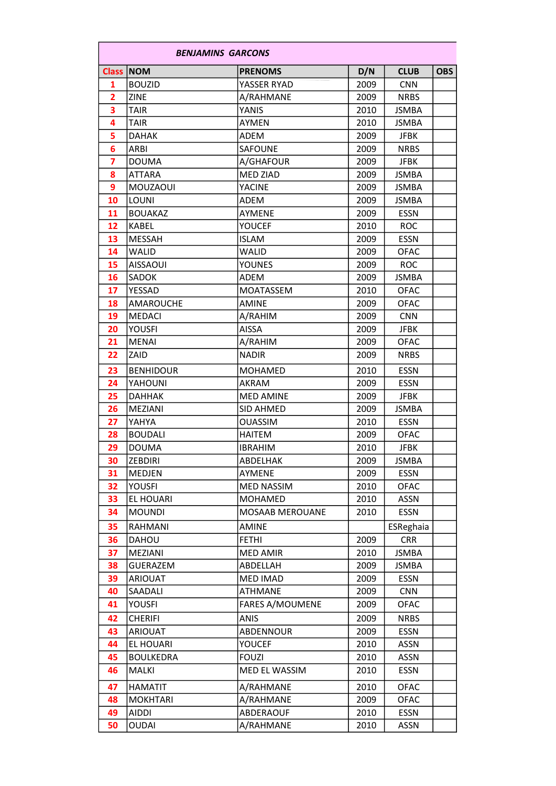|                         | <b>BENJAMINS GARCONS</b> |                        |      |              |            |  |
|-------------------------|--------------------------|------------------------|------|--------------|------------|--|
|                         | <b>Class NOM</b>         | <b>PRENOMS</b>         | D/N  | <b>CLUB</b>  | <b>OBS</b> |  |
| 1                       | <b>BOUZID</b>            | YASSER RYAD            | 2009 | <b>CNN</b>   |            |  |
| $\overline{2}$          | <b>ZINE</b>              | A/RAHMANE              | 2009 | <b>NRBS</b>  |            |  |
| 3                       | <b>TAIR</b>              | YANIS                  | 2010 | <b>JSMBA</b> |            |  |
| 4                       | TAIR                     | AYMEN                  | 2010 | <b>JSMBA</b> |            |  |
| 5                       | <b>DAHAK</b>             | ADEM                   | 2009 | <b>JFBK</b>  |            |  |
| 6                       | ARBI                     | SAFOUNE                | 2009 | <b>NRBS</b>  |            |  |
| $\overline{\mathbf{z}}$ | <b>DOUMA</b>             | A/GHAFOUR              | 2009 | JFBK         |            |  |
| 8                       | <b>ATTARA</b>            | <b>MED ZIAD</b>        | 2009 | <b>JSMBA</b> |            |  |
| 9                       | MOUZAOUI                 | <b>YACINE</b>          | 2009 | <b>JSMBA</b> |            |  |
| 10                      | LOUNI                    | ADEM                   | 2009 | <b>JSMBA</b> |            |  |
| 11                      | <b>BOUAKAZ</b>           | <b>AYMENE</b>          | 2009 | <b>ESSN</b>  |            |  |
| 12                      | <b>KABEL</b>             | YOUCEF                 | 2010 | <b>ROC</b>   |            |  |
| 13                      | MESSAH                   | <b>ISLAM</b>           | 2009 | <b>ESSN</b>  |            |  |
| 14                      | WALID                    | WALID                  | 2009 | <b>OFAC</b>  |            |  |
| 15                      | <b>AISSAOUI</b>          | <b>YOUNES</b>          | 2009 | <b>ROC</b>   |            |  |
| 16                      | SADOK                    | ADEM                   | 2009 | <b>JSMBA</b> |            |  |
| 17                      | YESSAD                   | <b>MOATASSEM</b>       | 2010 | <b>OFAC</b>  |            |  |
| 18                      | <b>AMAROUCHE</b>         | <b>AMINE</b>           | 2009 | <b>OFAC</b>  |            |  |
| 19                      | <b>MEDACI</b>            | A/RAHIM                | 2009 | <b>CNN</b>   |            |  |
| 20                      | YOUSFI                   | <b>AISSA</b>           | 2009 | <b>JFBK</b>  |            |  |
| 21                      | <b>MENAI</b>             | A/RAHIM                | 2009 | <b>OFAC</b>  |            |  |
| 22                      | ZAID                     | <b>NADIR</b>           | 2009 | <b>NRBS</b>  |            |  |
| 23                      | <b>BENHIDOUR</b>         | <b>MOHAMED</b>         | 2010 | <b>ESSN</b>  |            |  |
| 24                      | YAHOUNI                  | <b>AKRAM</b>           | 2009 | <b>ESSN</b>  |            |  |
| 25                      | <b>DAHHAK</b>            | <b>MED AMINE</b>       | 2009 | <b>JFBK</b>  |            |  |
| 26                      | MEZIANI                  | <b>SID AHMED</b>       | 2009 | <b>JSMBA</b> |            |  |
| 27                      | YAHYA                    | <b>OUASSIM</b>         | 2010 | <b>ESSN</b>  |            |  |
| 28                      | <b>BOUDALI</b>           | <b>HAITEM</b>          | 2009 | <b>OFAC</b>  |            |  |
| 29                      | <b>DOUMA</b>             | <b>IBRAHIM</b>         | 2010 | <b>JFBK</b>  |            |  |
| 30                      | <b>ZEBDIRI</b>           | ABDELHAK               | 2009 | JSMBA        |            |  |
| 31                      | MEDJEN                   | AYMENE                 | 2009 | <b>ESSN</b>  |            |  |
| 32                      | YOUSFI                   | <b>MED NASSIM</b>      | 2010 | <b>OFAC</b>  |            |  |
| 33                      | EL HOUARI                | MOHAMED                | 2010 | <b>ASSN</b>  |            |  |
| 34                      | <b>MOUNDI</b>            | <b>MOSAAB MEROUANE</b> | 2010 | <b>ESSN</b>  |            |  |
| 35                      | RAHMANI                  | AMINE                  |      | ESReghaia    |            |  |
| 36                      | DAHOU                    | <b>FETHI</b>           | 2009 | <b>CRR</b>   |            |  |
| 37                      | MEZIANI                  | <b>MED AMIR</b>        | 2010 | <b>JSMBA</b> |            |  |
| 38                      | <b>GUERAZEM</b>          | ABDELLAH               | 2009 | <b>JSMBA</b> |            |  |
| 39                      | <b>ARIOUAT</b>           | MED IMAD               | 2009 | <b>ESSN</b>  |            |  |
| 40                      | SAADALI                  | <b>ATHMANE</b>         | 2009 | <b>CNN</b>   |            |  |
| 41                      | YOUSFI                   | <b>FARES A/MOUMENE</b> | 2009 | <b>OFAC</b>  |            |  |
| 42                      | <b>CHERIFI</b>           | ANIS                   | 2009 | <b>NRBS</b>  |            |  |
| 43                      | <b>ARIOUAT</b>           | ABDENNOUR              | 2009 | <b>ESSN</b>  |            |  |
| 44                      | EL HOUARI                | YOUCEF                 | 2010 | <b>ASSN</b>  |            |  |
| 45                      | <b>BOULKEDRA</b>         | <b>FOUZI</b>           | 2010 | ASSN         |            |  |
| 46                      | MALKI                    | MED EL WASSIM          | 2010 | ESSN         |            |  |
| 47                      | <b>HAMATIT</b>           | A/RAHMANE              | 2010 | <b>OFAC</b>  |            |  |
| 48                      | <b>MOKHTARI</b>          | A/RAHMANE              | 2009 | <b>OFAC</b>  |            |  |
| 49                      | AIDDI                    | ABDERAOUF              | 2010 | <b>ESSN</b>  |            |  |
| 50                      | OUDAI                    | A/RAHMANE              | 2010 | <b>ASSN</b>  |            |  |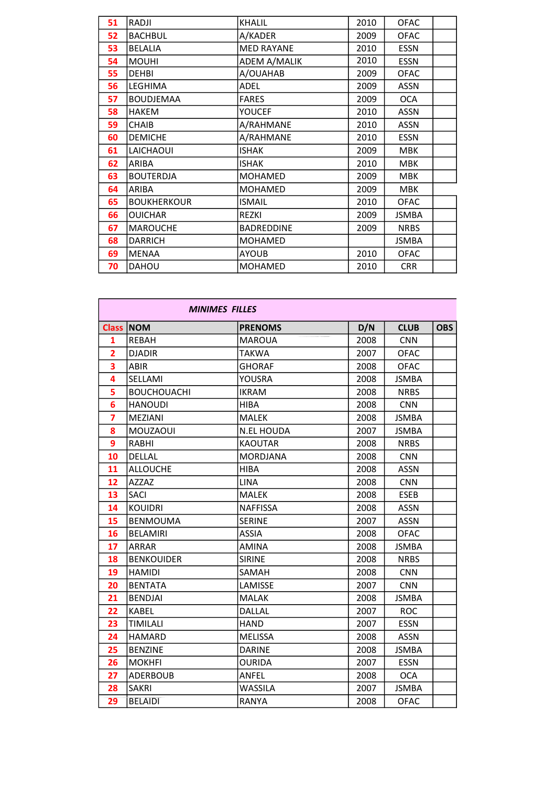| 51 | RADJI              | <b>KHALIL</b>       | 2010 | <b>OFAC</b>  |  |
|----|--------------------|---------------------|------|--------------|--|
|    |                    |                     |      |              |  |
| 52 | <b>BACHBUL</b>     | A/KADER             | 2009 | <b>OFAC</b>  |  |
| 53 | <b>BELALIA</b>     | <b>MED RAYANE</b>   | 2010 | <b>ESSN</b>  |  |
| 54 | <b>MOUHI</b>       | <b>ADEM A/MALIK</b> | 2010 | <b>ESSN</b>  |  |
| 55 | <b>DEHBI</b>       | A/OUAHAB            | 2009 | <b>OFAC</b>  |  |
| 56 | LEGHIMA            | ADEL                | 2009 | <b>ASSN</b>  |  |
| 57 | <b>BOUDJEMAA</b>   | <b>FARES</b>        | 2009 | <b>OCA</b>   |  |
| 58 | <b>HAKEM</b>       | <b>YOUCEF</b>       | 2010 | <b>ASSN</b>  |  |
| 59 | <b>CHAIB</b>       | A/RAHMANE           | 2010 | <b>ASSN</b>  |  |
| 60 | <b>DEMICHE</b>     | A/RAHMANE           | 2010 | <b>ESSN</b>  |  |
| 61 | LAICHAOUI          | <b>ISHAK</b>        | 2009 | <b>MBK</b>   |  |
| 62 | ARIBA              | <b>ISHAK</b>        | 2010 | <b>MBK</b>   |  |
| 63 | <b>BOUTERDJA</b>   | <b>MOHAMED</b>      | 2009 | <b>MBK</b>   |  |
| 64 | ARIBA              | MOHAMED             | 2009 | <b>MBK</b>   |  |
| 65 | <b>BOUKHERKOUR</b> | <b>ISMAIL</b>       | 2010 | <b>OFAC</b>  |  |
| 66 | <b>OUICHAR</b>     | <b>REZKI</b>        | 2009 | <b>JSMBA</b> |  |
| 67 | <b>MAROUCHE</b>    | <b>BADREDDINE</b>   | 2009 | <b>NRBS</b>  |  |
| 68 | <b>DARRICH</b>     | MOHAMED             |      | <b>JSMBA</b> |  |
| 69 | <b>MENAA</b>       | <b>AYOUB</b>        | 2010 | <b>OFAC</b>  |  |
| 70 | DAHOU              | <b>MOHAMED</b>      | 2010 | <b>CRR</b>   |  |

|                |                    | <b>MINIMES FILLES</b> |      |              |            |
|----------------|--------------------|-----------------------|------|--------------|------------|
| <b>Class</b>   | <b>NOM</b>         | <b>PRENOMS</b>        | D/N  | <b>CLUB</b>  | <b>OBS</b> |
| $\mathbf{1}$   | REBAH              | <b>MAROUA</b>         | 2008 | <b>CNN</b>   |            |
| $\overline{2}$ | <b>DJADIR</b>      | <b>TAKWA</b>          | 2007 | <b>OFAC</b>  |            |
| 3              | <b>ABIR</b>        | <b>GHORAF</b>         | 2008 | <b>OFAC</b>  |            |
| 4              | SELLAMI            | YOUSRA                | 2008 | <b>JSMBA</b> |            |
| 5              | <b>BOUCHOUACHI</b> | <b>IKRAM</b>          | 2008 | <b>NRBS</b>  |            |
| 6              | <b>HANOUDI</b>     | <b>HIBA</b>           | 2008 | <b>CNN</b>   |            |
| $\overline{7}$ | <b>MEZIANI</b>     | <b>MALEK</b>          | 2008 | <b>JSMBA</b> |            |
| 8              | <b>MOUZAOUI</b>    | <b>N.EL HOUDA</b>     | 2007 | <b>JSMBA</b> |            |
| 9              | RABHI              | <b>KAOUTAR</b>        | 2008 | <b>NRBS</b>  |            |
| 10             | <b>DELLAL</b>      | <b>MORDJANA</b>       | 2008 | <b>CNN</b>   |            |
| 11             | <b>ALLOUCHE</b>    | <b>HIBA</b>           | 2008 | <b>ASSN</b>  |            |
| 12             | A77A7              | <b>LINA</b>           | 2008 | <b>CNN</b>   |            |
| 13             | <b>SACI</b>        | <b>MALEK</b>          | 2008 | <b>ESEB</b>  |            |
| 14             | <b>KOUIDRI</b>     | <b>NAFFISSA</b>       | 2008 | <b>ASSN</b>  |            |
| 15             | <b>BENMOUMA</b>    | <b>SERINE</b>         | 2007 | <b>ASSN</b>  |            |
| 16             | <b>BELAMIRI</b>    | <b>ASSIA</b>          | 2008 | <b>OFAC</b>  |            |
| 17             | ARRAR              | <b>AMINA</b>          | 2008 | <b>JSMBA</b> |            |
| 18             | <b>BENKOUIDER</b>  | <b>SIRINE</b>         | 2008 | <b>NRBS</b>  |            |
| 19             | <b>HAMIDI</b>      | <b>SAMAH</b>          | 2008 | <b>CNN</b>   |            |
| 20             | <b>BENTATA</b>     | LAMISSE               | 2007 | <b>CNN</b>   |            |
| 21             | <b>BENDJAI</b>     | <b>MALAK</b>          | 2008 | <b>JSMBA</b> |            |
| 22             | <b>KABEL</b>       | DALLAL                | 2007 | <b>ROC</b>   |            |
| 23             | <b>TIMILALI</b>    | <b>HAND</b>           | 2007 | <b>ESSN</b>  |            |
| 24             | <b>HAMARD</b>      | <b>MELISSA</b>        | 2008 | <b>ASSN</b>  |            |
| 25             | <b>BENZINE</b>     | DARINE                | 2008 | <b>JSMBA</b> |            |
| 26             | <b>MOKHFI</b>      | <b>OURIDA</b>         | 2007 | <b>ESSN</b>  |            |
| 27             | <b>ADERBOUB</b>    | ANFEL                 | 2008 | <b>OCA</b>   |            |
| 28             | <b>SAKRI</b>       | WASSILA               | 2007 | <b>JSMBA</b> |            |
| 29             | <b>BELAIDI</b>     | <b>RANYA</b>          | 2008 | <b>OFAC</b>  |            |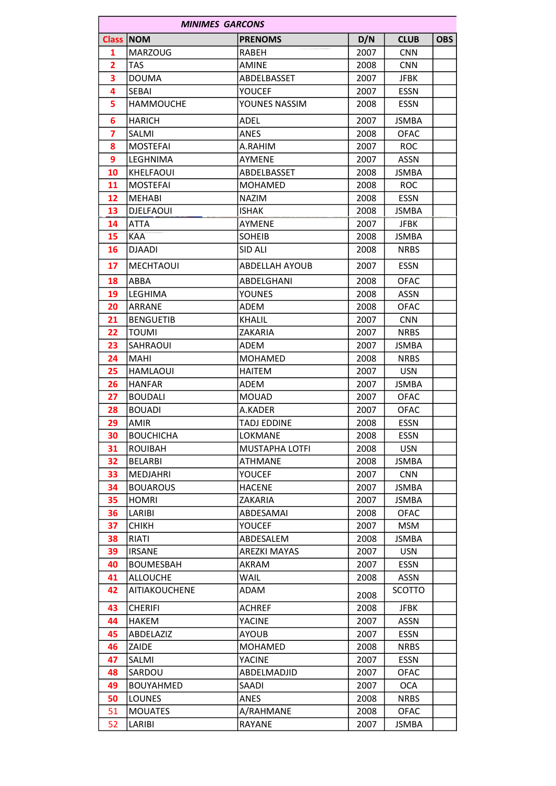|                | <b>MINIMES GARCONS</b> |                       |      |              |            |  |  |
|----------------|------------------------|-----------------------|------|--------------|------------|--|--|
|                | <b>Class NOM</b>       | <b>PRENOMS</b>        | D/N  | <b>CLUB</b>  | <b>OBS</b> |  |  |
| 1              | <b>MARZOUG</b>         | <b>RABEH</b>          | 2007 | <b>CNN</b>   |            |  |  |
| $\overline{2}$ | <b>TAS</b>             | <b>AMINE</b>          | 2008 | <b>CNN</b>   |            |  |  |
| 3              | <b>DOUMA</b>           | ABDELBASSET           | 2007 | <b>JFBK</b>  |            |  |  |
| 4              | <b>SEBAI</b>           | YOUCEF                | 2007 | <b>ESSN</b>  |            |  |  |
| 5              | <b>HAMMOUCHE</b>       | YOUNES NASSIM         | 2008 | <b>ESSN</b>  |            |  |  |
| 6              | HARICH                 | ADEL                  | 2007 | <b>JSMBA</b> |            |  |  |
| $\overline{7}$ | <b>SALMI</b>           | <b>ANES</b>           | 2008 | <b>OFAC</b>  |            |  |  |
| 8              | <b>MOSTEFAI</b>        | A.RAHIM               | 2007 | ROC          |            |  |  |
| 9              | LEGHNIMA               | <b>AYMENE</b>         | 2007 | <b>ASSN</b>  |            |  |  |
| 10             | KHELFAOUI              | ABDELBASSET           | 2008 | JSMBA        |            |  |  |
| 11             | <b>MOSTEFAI</b>        | <b>MOHAMED</b>        | 2008 | <b>ROC</b>   |            |  |  |
| 12             | MEHABI                 | <b>NAZIM</b>          | 2008 | <b>ESSN</b>  |            |  |  |
| 13             | <b>DJELFAOUI</b>       | <b>ISHAK</b>          | 2008 | <b>JSMBA</b> |            |  |  |
| 14             | <b>ATTA</b>            | <b>AYMENE</b>         | 2007 | <b>JFBK</b>  |            |  |  |
| 15             | <b>KAA</b>             | <b>SOHEIB</b>         | 2008 | JSMBA        |            |  |  |
| 16             | DJAADI                 | SID ALI               | 2008 | <b>NRBS</b>  |            |  |  |
| 17             | <b>MECHTAOUI</b>       | <b>ABDELLAH AYOUB</b> | 2007 | <b>ESSN</b>  |            |  |  |
| 18             | ABBA                   | ABDELGHANI            | 2008 | <b>OFAC</b>  |            |  |  |
| 19             | LEGHIMA                | <b>YOUNES</b>         | 2008 | <b>ASSN</b>  |            |  |  |
| 20             | ARRANE                 | <b>ADEM</b>           | 2008 | <b>OFAC</b>  |            |  |  |
| 21             | <b>BENGUETIB</b>       | KHALIL                | 2007 | <b>CNN</b>   |            |  |  |
| 22             | <b>TOUMI</b>           | ZAKARIA               | 2007 | <b>NRBS</b>  |            |  |  |
| 23             | SAHRAOUI               | ADEM                  | 2007 | <b>JSMBA</b> |            |  |  |
| 24             | <b>MAHI</b>            | <b>MOHAMED</b>        | 2008 | <b>NRBS</b>  |            |  |  |
| 25             | <b>HAMLAOUI</b>        | <b>HAITEM</b>         | 2007 | <b>USN</b>   |            |  |  |
| 26             | <b>HANFAR</b>          | ADEM                  | 2007 | JSMBA        |            |  |  |
| 27             | <b>BOUDALI</b>         | <b>MOUAD</b>          | 2007 | <b>OFAC</b>  |            |  |  |
| 28             | <b>BOUADI</b>          | A.KADER               | 2007 | <b>OFAC</b>  |            |  |  |
| 29             | <b>AMIR</b>            | <b>TADJ EDDINE</b>    | 2008 | <b>ESSN</b>  |            |  |  |
| 30             | <b>BOUCHICHA</b>       | LOKMANE               | 2008 | <b>ESSN</b>  |            |  |  |
| 31             | <b>ROUIBAH</b>         | MUSTAPHA LOTFI        | 2008 | <b>USN</b>   |            |  |  |
| 32             | BELARBI                | <b>ATHMANE</b>        | 2008 | JSMBA        |            |  |  |
| 33             | MEDJAHRI               | <b>YOUCEF</b>         | 2007 | <b>CNN</b>   |            |  |  |
| 34             | <b>BOUAROUS</b>        | <b>HACENE</b>         | 2007 | <b>JSMBA</b> |            |  |  |
| 35             | <b>HOMRI</b>           | ZAKARIA               | 2007 | <b>JSMBA</b> |            |  |  |
| 36             | LARIBI                 | ABDESAMAI             | 2008 | <b>OFAC</b>  |            |  |  |
| 37             | <b>CHIKH</b>           | <b>YOUCEF</b>         | 2007 | <b>MSM</b>   |            |  |  |
| 38             | RIATI                  | ABDESALEM             | 2008 | JSMBA        |            |  |  |
| 39             | <b>IRSANE</b>          | AREZKI MAYAS          | 2007 | <b>USN</b>   |            |  |  |
| 40             | <b>BOUMESBAH</b>       | AKRAM                 | 2007 | <b>ESSN</b>  |            |  |  |
| 41             | <b>ALLOUCHE</b>        | WAIL                  | 2008 | <b>ASSN</b>  |            |  |  |
| 42             | AITIAKOUCHENE          | ADAM                  | 2008 | SCOTTO       |            |  |  |
| 43             | <b>CHERIFI</b>         | ACHREF                | 2008 | <b>JFBK</b>  |            |  |  |
| 44             | HAKEM                  | YACINE                | 2007 | <b>ASSN</b>  |            |  |  |
| 45             | ABDELAZIZ              | <b>AYOUB</b>          | 2007 | <b>ESSN</b>  |            |  |  |
| 46             | ZAIDE                  | MOHAMED               | 2008 | <b>NRBS</b>  |            |  |  |
| 47             | SALMI                  | <b>YACINE</b>         | 2007 | <b>ESSN</b>  |            |  |  |
| 48             | SARDOU                 | ABDELMADJID           | 2007 | <b>OFAC</b>  |            |  |  |
| 49             | <b>BOUYAHMED</b>       | SAADI                 | 2007 | <b>OCA</b>   |            |  |  |
| 50             | <b>LOUNES</b>          | ANES                  | 2008 | <b>NRBS</b>  |            |  |  |
| 51             | <b>MOUATES</b>         | A/RAHMANE             | 2008 | <b>OFAC</b>  |            |  |  |
| 52             | LARIBI                 | RAYANE                | 2007 | JSMBA        |            |  |  |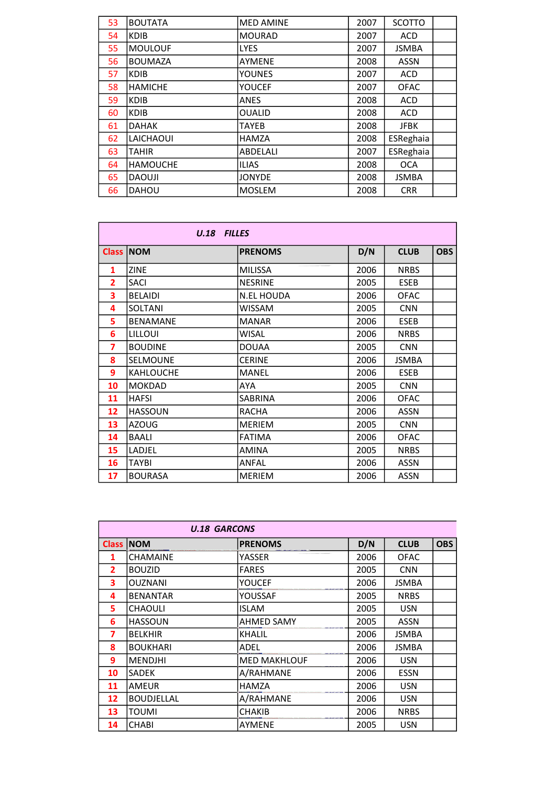| 53 | <b>BOUTATA</b>  | <b>MED AMINE</b> | 2007 | SCOTTO       |  |
|----|-----------------|------------------|------|--------------|--|
| 54 | <b>KDIB</b>     | <b>MOURAD</b>    | 2007 | <b>ACD</b>   |  |
| 55 | <b>MOULOUF</b>  | <b>LYES</b>      | 2007 | <b>JSMBA</b> |  |
| 56 | <b>BOUMAZA</b>  | <b>AYMENE</b>    | 2008 | <b>ASSN</b>  |  |
| 57 | <b>KDIB</b>     | <b>YOUNES</b>    | 2007 | <b>ACD</b>   |  |
| 58 | <b>HAMICHE</b>  | YOUCEF           | 2007 | <b>OFAC</b>  |  |
| 59 | <b>KDIB</b>     | <b>ANES</b>      | 2008 | <b>ACD</b>   |  |
| 60 | <b>KDIB</b>     | <b>OUALID</b>    | 2008 | <b>ACD</b>   |  |
| 61 | <b>DAHAK</b>    | <b>TAYEB</b>     | 2008 | <b>JFBK</b>  |  |
| 62 | LAICHAOUI       | HAMZA            | 2008 | ESReghaia    |  |
| 63 | <b>TAHIR</b>    | ABDELALI         | 2007 | ESReghaia    |  |
| 64 | <b>HAMOUCHE</b> | <b>ILIAS</b>     | 2008 | <b>OCA</b>   |  |
| 65 | <b>DAOUJI</b>   | <b>JONYDE</b>    | 2008 | <b>JSMBA</b> |  |
| 66 | <b>DAHOU</b>    | <b>MOSLEM</b>    | 2008 | <b>CRR</b>   |  |

|              | U.18 FILLES      |                   |      |             |            |
|--------------|------------------|-------------------|------|-------------|------------|
| <b>Class</b> | <b>NOM</b>       | <b>PRENOMS</b>    | D/N  | <b>CLUB</b> | <b>OBS</b> |
| 1            | <b>ZINE</b>      | <b>MILISSA</b>    | 2006 | <b>NRBS</b> |            |
| 2            | <b>SACI</b>      | <b>NESRINE</b>    | 2005 | <b>ESEB</b> |            |
| 3            | <b>BELAIDI</b>   | <b>N.EL HOUDA</b> | 2006 | <b>OFAC</b> |            |
| 4            | SOLTANI          | <b>WISSAM</b>     | 2005 | <b>CNN</b>  |            |
| 5            | <b>BENAMANE</b>  | <b>MANAR</b>      | 2006 | <b>ESEB</b> |            |
| 6            | LILLOUI          | WISAL             | 2006 | <b>NRBS</b> |            |
| 7            | <b>BOUDINE</b>   | <b>DOUAA</b>      | 2005 | <b>CNN</b>  |            |
| 8            | <b>SELMOUNE</b>  | <b>CERINE</b>     | 2006 | JSMBA       |            |
| 9            | <b>KAHLOUCHE</b> | <b>MANEL</b>      | 2006 | <b>ESEB</b> |            |
| 10           | <b>MOKDAD</b>    | AYA               | 2005 | <b>CNN</b>  |            |
| 11           | <b>HAFSI</b>     | SABRINA           | 2006 | <b>OFAC</b> |            |
| 12           | <b>HASSOUN</b>   | <b>RACHA</b>      | 2006 | <b>ASSN</b> |            |
| 13           | <b>AZOUG</b>     | <b>MERIEM</b>     | 2005 | <b>CNN</b>  |            |
| 14           | <b>BAALI</b>     | <b>FATIMA</b>     | 2006 | <b>OFAC</b> |            |
| 15           | LADJEL           | <b>AMINA</b>      | 2005 | <b>NRBS</b> |            |
| 16           | <b>TAYBI</b>     | ANFAL             | 2006 | <b>ASSN</b> |            |
| 17           | <b>BOURASA</b>   | <b>MERIEM</b>     | 2006 | <b>ASSN</b> |            |

|                    | <b>U.18 GARCONS</b> |                     |      |              |            |
|--------------------|---------------------|---------------------|------|--------------|------------|
| Class <sup>1</sup> | <b>NOM</b>          | <b>PRENOMS</b>      | D/N  | <b>CLUB</b>  | <b>OBS</b> |
| 1                  | <b>CHAMAINE</b>     | YASSER              | 2006 | <b>OFAC</b>  |            |
| $\overline{2}$     | <b>BOUZID</b>       | <b>FARES</b>        | 2005 | <b>CNN</b>   |            |
| 3                  | <b>OUZNANI</b>      | YOUCEF              | 2006 | JSMBA        |            |
| 4                  | <b>BENANTAR</b>     | YOUSSAF             | 2005 | <b>NRBS</b>  |            |
| 5                  | <b>CHAOULI</b>      | ISLAM               | 2005 | <b>USN</b>   |            |
| 6                  | <b>HASSOUN</b>      | <b>AHMED SAMY</b>   | 2005 | <b>ASSN</b>  |            |
| 7                  | <b>BELKHIR</b>      | KHALIL              | 2006 | JSMBA        |            |
| 8                  | <b>BOUKHARI</b>     | ADEL                | 2006 | <b>JSMBA</b> |            |
| 9                  | <b>MENDJHI</b>      | <b>MED MAKHLOUF</b> | 2006 | <b>USN</b>   |            |
| 10                 | SADEK               | A/RAHMANE           | 2006 | <b>ESSN</b>  |            |
| 11                 | AMEUR               | <b>HAMZA</b>        | 2006 | <b>USN</b>   |            |
| 12                 | <b>BOUDJELLAL</b>   | A/RAHMANE           | 2006 | <b>USN</b>   |            |
| 13                 | TOUMI               | <b>CHAKIB</b>       | 2006 | <b>NRBS</b>  |            |
| 14                 | <b>CHABI</b>        | <b>AYMENE</b>       | 2005 | <b>USN</b>   |            |